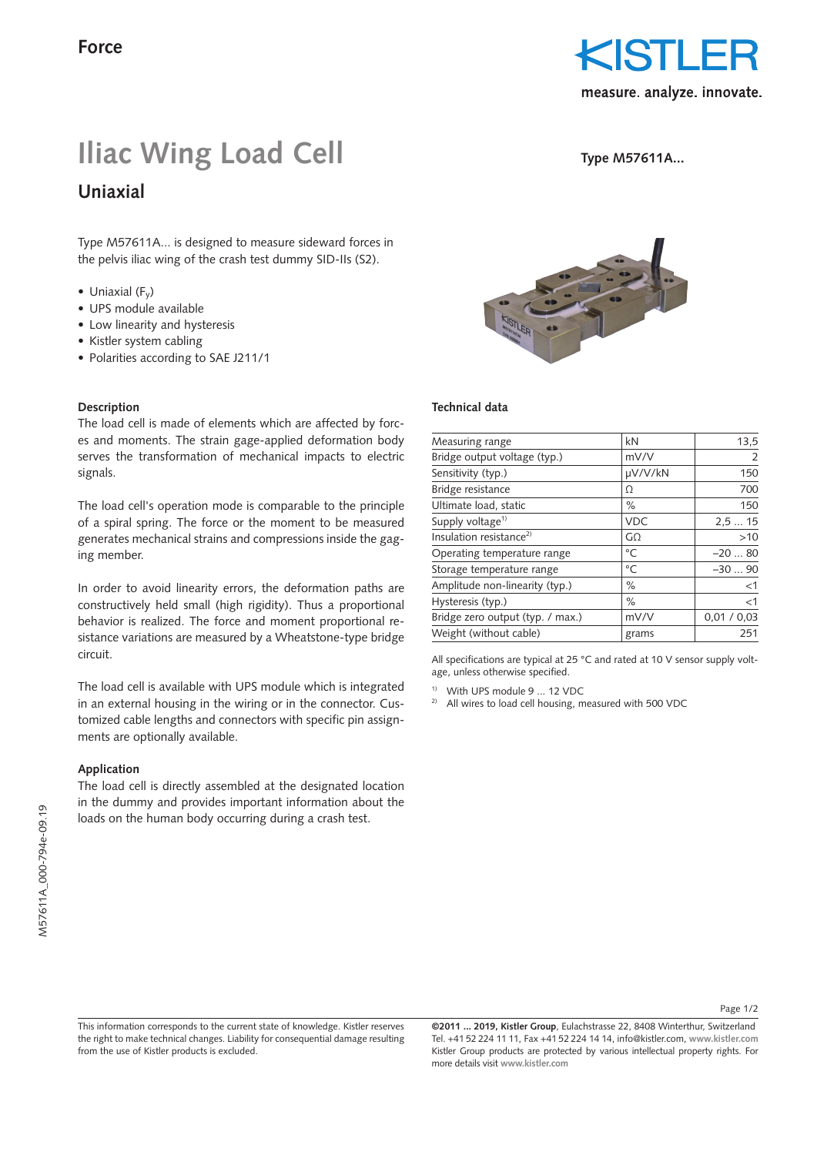

**Type M57611A...**

# **Iliac Wing Load Cell**

**Uniaxial**

Type M57611A... is designed to measure sideward forces in the pelvis iliac wing of the crash test dummy SID-IIs (S2).

- Uniaxial  $(F_v)$
- UPS module available
- Low linearity and hysteresis
- Kistler system cabling
- Polarities according to SAE J211/1

### **Description**

The load cell is made of elements which are affected by forces and moments. The strain gage-applied deformation body serves the transformation of mechanical impacts to electric signals.

The load cell's operation mode is comparable to the principle of a spiral spring. The force or the moment to be measured generates mechanical strains and compressions inside the gaging member.

In order to avoid linearity errors, the deformation paths are constructively held small (high rigidity). Thus a proportional behavior is realized. The force and moment proportional resistance variations are measured by a Wheatstone-type bridge circuit.

The load cell is available with UPS module which is integrated in an external housing in the wiring or in the connector. Customized cable lengths and connectors with specific pin assignments are optionally available.

### **Application**

The load cell is directly assembled at the designated location in the dummy and provides important information about the loads on the human body occurring during a crash test.



### **Technical data**

| Measuring range                     | kN             | 13,5        |
|-------------------------------------|----------------|-------------|
| Bridge output voltage (typ.)        | mV/V           | 2           |
| Sensitivity (typ.)                  | µV/V/kN        | 150         |
| Bridge resistance                   | Ω              | 700         |
| Ultimate load, static               | $\%$           | 150         |
| Supply voltage <sup>1)</sup>        | <b>VDC</b>     | 2,515       |
| Insulation resistance <sup>2)</sup> | G <sub>O</sub> | >10         |
| Operating temperature range         | °C             | $-2080$     |
| Storage temperature range           | $^{\circ}$ C   | $-3090$     |
| Amplitude non-linearity (typ.)      | $\%$           | <1          |
| Hysteresis (typ.)                   | $\%$           | <1          |
| Bridge zero output (typ. / max.)    | mV/V           | 0,01 / 0,03 |
| Weight (without cable)              | grams          | 251         |

All specifications are typical at 25 °C and rated at 10 V sensor supply voltage, unless otherwise specified.

1) With UPS module 9 ... 12 VDC

2) All wires to load cell housing, measured with 500 VDC

Page 1/2

**©2011 ... 2019, Kistler Group**, Eulachstrasse 22, 8408 Winterthur, Switzerland Tel. +41 52 224 11 11, Fax +41 52 224 14 14, info@kistler.com, **www.kistler.com** Kistler Group products are protected by various intellectual property rights. For more details visit **www.kistler.com**

This information corresponds to the current state of knowledge. Kistler reserves the right to make technical changes. Liability for consequential damage resulting from the use of Kistler products is excluded.